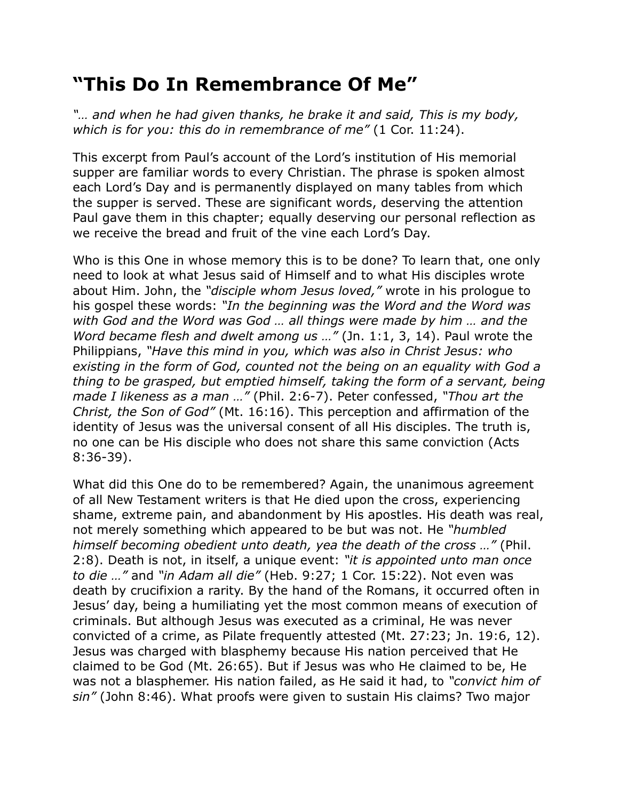## **"This Do In Remembrance Of Me"**

*"… and when he had given thanks, he brake it and said, This is my body, which is for you: this do in remembrance of me"* (1 Cor. 11:24).

This excerpt from Paul's account of the Lord's institution of His memorial supper are familiar words to every Christian. The phrase is spoken almost each Lord's Day and is permanently displayed on many tables from which the supper is served. These are significant words, deserving the attention Paul gave them in this chapter; equally deserving our personal reflection as we receive the bread and fruit of the vine each Lord's Day.

Who is this One in whose memory this is to be done? To learn that, one only need to look at what Jesus said of Himself and to what His disciples wrote about Him. John, the *"disciple whom Jesus loved,"* wrote in his prologue to his gospel these words: *"In the beginning was the Word and the Word was with God and the Word was God … all things were made by him … and the Word became flesh and dwelt among us …"* (Jn. 1:1, 3, 14). Paul wrote the Philippians, *"Have this mind in you, which was also in Christ Jesus: who existing in the form of God, counted not the being on an equality with God a thing to be grasped, but emptied himself, taking the form of a servant, being made I likeness as a man …"* (Phil. 2:6-7). Peter confessed, *"Thou art the Christ, the Son of God"* (Mt. 16:16). This perception and affirmation of the identity of Jesus was the universal consent of all His disciples. The truth is, no one can be His disciple who does not share this same conviction (Acts 8:36-39).

What did this One do to be remembered? Again, the unanimous agreement of all New Testament writers is that He died upon the cross, experiencing shame, extreme pain, and abandonment by His apostles. His death was real, not merely something which appeared to be but was not. He *"humbled himself becoming obedient unto death, yea the death of the cross …"* (Phil. 2:8). Death is not, in itself, a unique event: *"it is appointed unto man once to die …"* and *"in Adam all die"* (Heb. 9:27; 1 Cor. 15:22). Not even was death by crucifixion a rarity. By the hand of the Romans, it occurred often in Jesus' day, being a humiliating yet the most common means of execution of criminals. But although Jesus was executed as a criminal, He was never convicted of a crime, as Pilate frequently attested (Mt. 27:23; Jn. 19:6, 12). Jesus was charged with blasphemy because His nation perceived that He claimed to be God (Mt. 26:65). But if Jesus was who He claimed to be, He was not a blasphemer. His nation failed, as He said it had, to *"convict him of sin"* (John 8:46). What proofs were given to sustain His claims? Two major